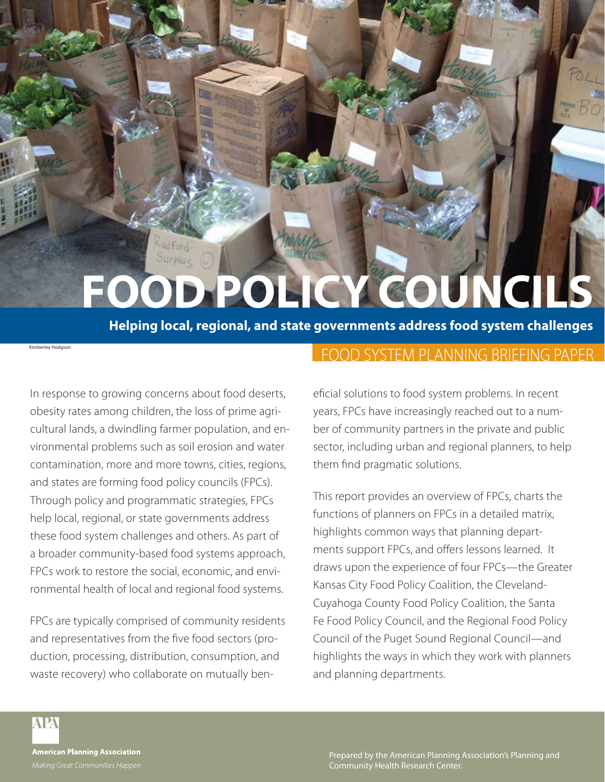# FOOD POLICY COUNCIL

**Helping local, regional, and state governments address food system challenges**

In response to growing concerns about food deserts, obesity rates among children, the loss of prime agricultural lands, a dwindling farmer population, and environmental problems such as soil erosion and water contamination, more and more towns, cities, regions, and states are forming food policy councils (FPCs). Through policy and programmatic strategies, FPCs help local, regional, or state governments address these food system challenges and others. As part of a broader community-based food systems approach, FPCs work to restore the social, economic, and environmental health of local and regional food systems.

OUTPlus

FPCs are typically comprised of community residents and representatives from the five food sectors (production, processing, distribution, consumption, and waste recovery) who collaborate on mutually ben-

# FOOD SYSTEM PLANNING BRIEFING PAPER

eficial solutions to food system problems. In recent years, FPCs have increasingly reached out to a number of community partners in the private and public sector, including urban and regional planners, to help them find pragmatic solutions.

This report provides an overview of FPCs, charts the functions of planners on FPCs in a detailed matrix, highlights common ways that planning departments support FPCs, and offers lessons learned. It draws upon the experience of four FPCs—the Greater Kansas City Food Policy Coalition, the Cleveland-Cuyahoga County Food Policy Coalition, the Santa Fe Food Policy Council, and the Regional Food Policy Council of the Puget Sound Regional Council—and highlights the ways in which they work with planners and planning departments.

**APA** 

Kimberley Hodgson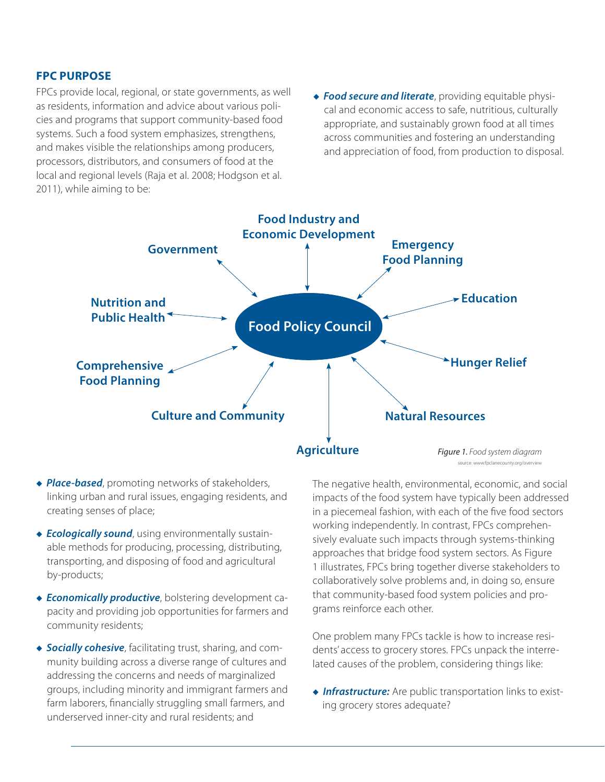#### **FPC Purpose**

FPCs provide local, regional, or state governments, as well as residents, information and advice about various policies and programs that support community-based food systems. Such a food system emphasizes, strengthens, and makes visible the relationships among producers, processors, distributors, and consumers of food at the local and regional levels (Raja et al. 2008; Hodgson et al. 2011), while aiming to be:

**• Food secure and literate**, providing equitable physical and economic access to safe, nutritious, culturally appropriate, and sustainably grown food at all times across communities and fostering an understanding and appreciation of food, from production to disposal.



- ◆ *Place-based*, promoting networks of stakeholders, linking urban and rural issues, engaging residents, and creating senses of place;
- **Ecologically sound**, using environmentally sustainable methods for producing, processing, distributing, transporting, and disposing of food and agricultural by-products;
- **Economically productive**, bolstering development capacity and providing job opportunities for farmers and community residents;
- **Socially cohesive**, facilitating trust, sharing, and community building across a diverse range of cultures and addressing the concerns and needs of marginalized groups, including minority and immigrant farmers and farm laborers, financially struggling small farmers, and underserved inner-city and rural residents; and

The negative health, environmental, economic, and social impacts of the food system have typically been addressed in a piecemeal fashion, with each of the five food sectors working independently. In contrast, FPCs comprehensively evaluate such impacts through systems-thinking approaches that bridge food system sectors. As Figure 1 illustrates, FPCs bring together diverse stakeholders to collaboratively solve problems and, in doing so, ensure that community-based food system policies and programs reinforce each other.

One problem many FPCs tackle is how to increase residents' access to grocery stores. FPCs unpack the interrelated causes of the problem, considering things like:

**Infrastructure:** Are public transportation links to existing grocery stores adequate?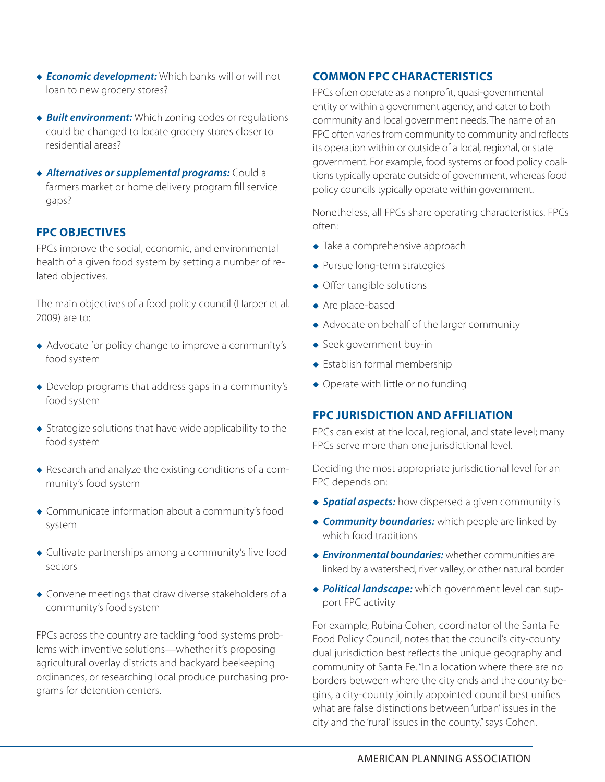- **Economic development:** Which banks will or will not loan to new grocery stores?
- ◆ **Built environment:** Which zoning codes or regulations could be changed to locate grocery stores closer to residential areas?
- **Alternatives or supplemental programs:** Could a farmers market or home delivery program fill service gaps?

#### **FPC Objectives**

FPCs improve the social, economic, and environmental health of a given food system by setting a number of related objectives.

The main objectives of a food policy council (Harper et al. 2009) are to:

- Advocate for policy change to improve a community's food system
- $\bullet$  Develop programs that address gaps in a community's food system
- $\bullet$  Strategize solutions that have wide applicability to the food system
- $\triangle$  Research and analyze the existing conditions of a community's food system
- Communicate information about a community's food system
- $\bullet$  Cultivate partnerships among a community's five food sectors
- $\bullet$  Convene meetings that draw diverse stakeholders of a community's food system

FPCs across the country are tackling food systems problems with inventive solutions—whether it's proposing agricultural overlay districts and backyard beekeeping ordinances, or researching local produce purchasing programs for detention centers.

## **Common FPC Characteristics**

FPCs often operate as a nonprofit, quasi-governmental entity or within a government agency, and cater to both community and local government needs. The name of an FPC often varies from community to community and reflects its operation within or outside of a local, regional, or state government. For example, food systems or food policy coalitions typically operate outside of government, whereas food policy councils typically operate within government.

Nonetheless, all FPCs share operating characteristics. FPCs often:

- $\bullet$  Take a comprehensive approach
- $\blacklozenge$  Pursue long-term strategies
- $\triangleleft$  Offer tangible solutions
- $\triangle$  Are place-based
- $\triangle$  Advocate on behalf of the larger community
- $\triangleleft$  Seek government buy-in
- $\triangle$  Establish formal membership
- $\bullet$  Operate with little or no funding

#### **FPC Jurisdiction and Affiliation**

FPCs can exist at the local, regional, and state level; many FPCs serve more than one jurisdictional level.

Deciding the most appropriate jurisdictional level for an FPC depends on:

- **Spatial aspects:** how dispersed a given community is
- **Community boundaries:** which people are linked by which food traditions
- **Environmental boundaries:** whether communities are linked by a watershed, river valley, or other natural border
- **Political landscape:** which government level can support FPC activity

For example, Rubina Cohen, coordinator of the Santa Fe Food Policy Council, notes that the council's city-county dual jurisdiction best reflects the unique geography and community of Santa Fe. "In a location where there are no borders between where the city ends and the county begins, a city-county jointly appointed council best unifies what are false distinctions between 'urban' issues in the city and the 'rural' issues in the county," says Cohen.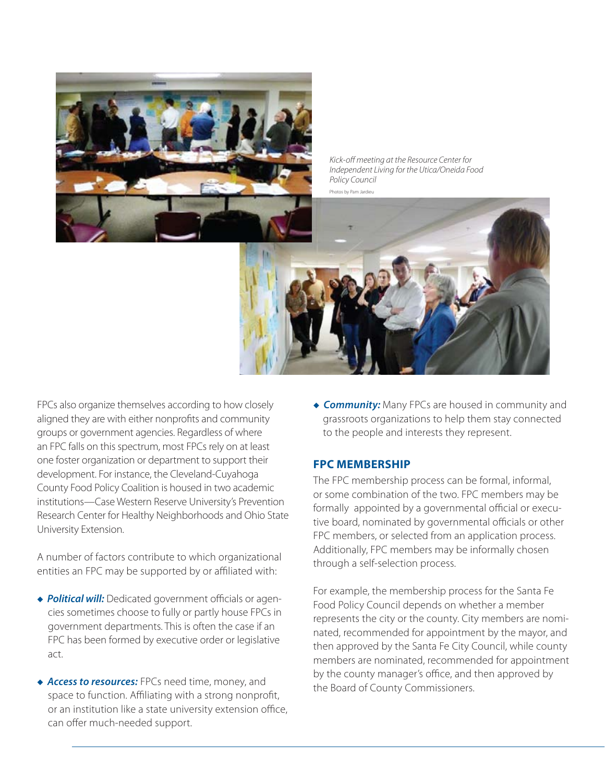

*Kick-off meeting at the Resource Center for Independent Living for the Utica/Oneida Food Policy Council* Photos by Pam Jardieu



FPCs also organize themselves according to how closely aligned they are with either nonprofits and community groups or government agencies. Regardless of where an FPC falls on this spectrum, most FPCs rely on at least one foster organization or department to support their development. For instance, the Cleveland-Cuyahoga County Food Policy Coalition is housed in two academic institutions—Case Western Reserve University's Prevention Research Center for Healthy Neighborhoods and Ohio State University Extension.

A number of factors contribute to which organizational entities an FPC may be supported by or affiliated with:

- ◆ *Political will:* Dedicated government officials or agencies sometimes choose to fully or partly house FPCs in government departments. This is often the case if an FPC has been formed by executive order or legislative act.
- ◆ *Access to resources:* FPCs need time, money, and space to function. Affiliating with a strong nonprofit, or an institution like a state university extension office, can offer much-needed support.

**Community:** Many FPCs are housed in community and grassroots organizations to help them stay connected to the people and interests they represent.

#### **FPC Membership**

The FPC membership process can be formal, informal, or some combination of the two. FPC members may be formally appointed by a governmental official or executive board, nominated by governmental officials or other FPC members, or selected from an application process. Additionally, FPC members may be informally chosen through a self-selection process.

For example, the membership process for the Santa Fe Food Policy Council depends on whether a member represents the city or the county. City members are nominated, recommended for appointment by the mayor, and then approved by the Santa Fe City Council, while county members are nominated, recommended for appointment by the county manager's office, and then approved by the Board of County Commissioners.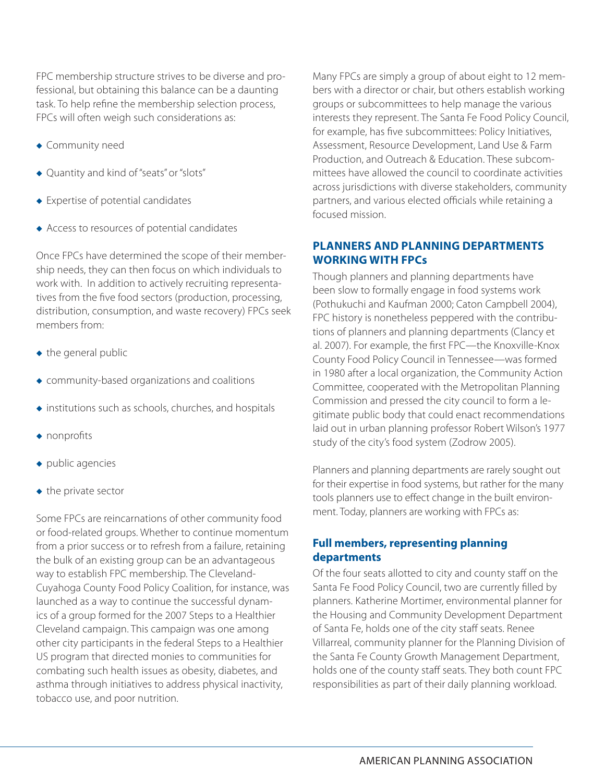FPC membership structure strives to be diverse and professional, but obtaining this balance can be a daunting task. To help refine the membership selection process, FPCs will often weigh such considerations as:

- $\bullet$  Community need
- ◆ Quantity and kind of "seats" or "slots"
- $\bullet$  Expertise of potential candidates
- $\triangle$  Access to resources of potential candidates

Once FPCs have determined the scope of their membership needs, they can then focus on which individuals to work with. In addition to actively recruiting representatives from the five food sectors (production, processing, distribution, consumption, and waste recovery) FPCs seek members from:

- $\bullet$  the general public
- $\bullet$  community-based organizations and coalitions
- $\bullet$  institutions such as schools, churches, and hospitals
- $\bullet$  nonprofits
- $\bullet$  public agencies
- $\bullet$  the private sector

Some FPCs are reincarnations of other community food or food-related groups. Whether to continue momentum from a prior success or to refresh from a failure, retaining the bulk of an existing group can be an advantageous way to establish FPC membership. The Cleveland-Cuyahoga County Food Policy Coalition, for instance, was launched as a way to continue the successful dynamics of a group formed for the 2007 Steps to a Healthier Cleveland campaign. This campaign was one among other city participants in the federal Steps to a Healthier US program that directed monies to communities for combating such health issues as obesity, diabetes, and asthma through initiatives to address physical inactivity, tobacco use, and poor nutrition.

Many FPCs are simply a group of about eight to 12 members with a director or chair, but others establish working groups or subcommittees to help manage the various interests they represent. The Santa Fe Food Policy Council, for example, has five subcommittees: Policy Initiatives, Assessment, Resource Development, Land Use & Farm Production, and Outreach & Education. These subcommittees have allowed the council to coordinate activities across jurisdictions with diverse stakeholders, community partners, and various elected officials while retaining a focused mission.

## **Planners and Planning Departments working with FPCs**

Though planners and planning departments have been slow to formally engage in food systems work (Pothukuchi and Kaufman 2000; Caton Campbell 2004), FPC history is nonetheless peppered with the contributions of planners and planning departments (Clancy et al. 2007). For example, the first FPC—the Knoxville-Knox County Food Policy Council in Tennessee—was formed in 1980 after a local organization, the Community Action Committee, cooperated with the Metropolitan Planning Commission and pressed the city council to form a legitimate public body that could enact recommendations laid out in urban planning professor Robert Wilson's 1977 study of the city's food system (Zodrow 2005).

Planners and planning departments are rarely sought out for their expertise in food systems, but rather for the many tools planners use to effect change in the built environment. Today, planners are working with FPCs as:

# **Full members, representing planning departments**

Of the four seats allotted to city and county staff on the Santa Fe Food Policy Council, two are currently filled by planners. Katherine Mortimer, environmental planner for the Housing and Community Development Department of Santa Fe, holds one of the city staff seats. Renee Villarreal, community planner for the Planning Division of the Santa Fe County Growth Management Department, holds one of the county staff seats. They both count FPC responsibilities as part of their daily planning workload.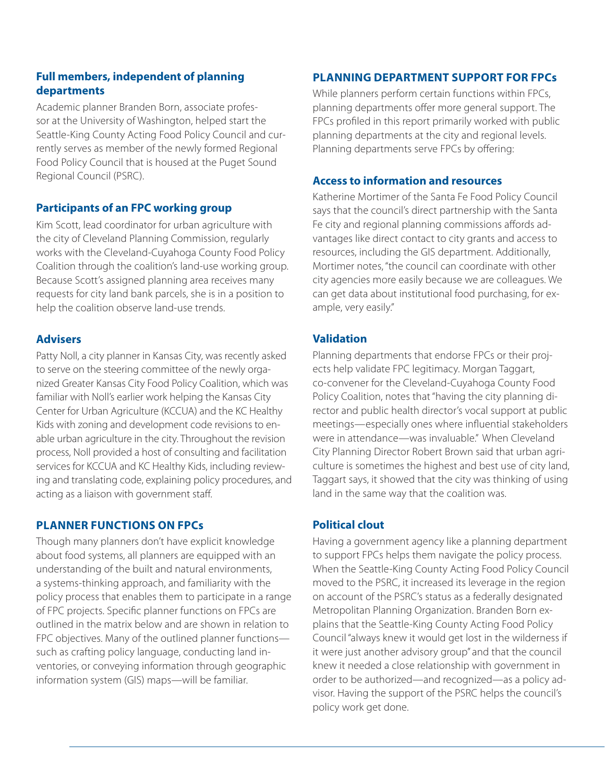## **Full members, independent of planning departments**

Academic planner Branden Born, associate professor at the University of Washington, helped start the Seattle-King County Acting Food Policy Council and currently serves as member of the newly formed Regional Food Policy Council that is housed at the Puget Sound Regional Council (PSRC).

# **Participants of an FPC working group**

Kim Scott, lead coordinator for urban agriculture with the city of Cleveland Planning Commission, regularly works with the Cleveland-Cuyahoga County Food Policy Coalition through the coalition's land-use working group. Because Scott's assigned planning area receives many requests for city land bank parcels, she is in a position to help the coalition observe land-use trends.

# **Advisers**

Patty Noll, a city planner in Kansas City, was recently asked to serve on the steering committee of the newly organized Greater Kansas City Food Policy Coalition, which was familiar with Noll's earlier work helping the Kansas City Center for Urban Agriculture (KCCUA) and the KC Healthy Kids with zoning and development code revisions to enable urban agriculture in the city. Throughout the revision process, Noll provided a host of consulting and facilitation services for KCCUA and KC Healthy Kids, including reviewing and translating code, explaining policy procedures, and acting as a liaison with government staff.

# **Planner Functions on FPCs**

Though many planners don't have explicit knowledge about food systems, all planners are equipped with an understanding of the built and natural environments, a systems-thinking approach, and familiarity with the policy process that enables them to participate in a range of FPC projects. Specific planner functions on FPCs are outlined in the matrix below and are shown in relation to FPC objectives. Many of the outlined planner functions such as crafting policy language, conducting land inventories, or conveying information through geographic information system (GIS) maps—will be familiar.

# **Planning Department Support for FPCs**

While planners perform certain functions within FPCs, planning departments offer more general support. The FPCs profiled in this report primarily worked with public planning departments at the city and regional levels. Planning departments serve FPCs by offering:

#### **Access to information and resources**

Katherine Mortimer of the Santa Fe Food Policy Council says that the council's direct partnership with the Santa Fe city and regional planning commissions affords advantages like direct contact to city grants and access to resources, including the GIS department. Additionally, Mortimer notes, "the council can coordinate with other city agencies more easily because we are colleagues. We can get data about institutional food purchasing, for example, very easily."

# **Validation**

Planning departments that endorse FPCs or their projects help validate FPC legitimacy. Morgan Taggart, co-convener for the Cleveland-Cuyahoga County Food Policy Coalition, notes that "having the city planning director and public health director's vocal support at public meetings—especially ones where influential stakeholders were in attendance—was invaluable." When Cleveland City Planning Director Robert Brown said that urban agriculture is sometimes the highest and best use of city land, Taggart says, it showed that the city was thinking of using land in the same way that the coalition was.

# **Political clout**

Having a government agency like a planning department to support FPCs helps them navigate the policy process. When the Seattle-King County Acting Food Policy Council moved to the PSRC, it increased its leverage in the region on account of the PSRC's status as a federally designated Metropolitan Planning Organization. Branden Born explains that the Seattle-King County Acting Food Policy Council "always knew it would get lost in the wilderness if it were just another advisory group" and that the council knew it needed a close relationship with government in order to be authorized—and recognized—as a policy advisor. Having the support of the PSRC helps the council's policy work get done.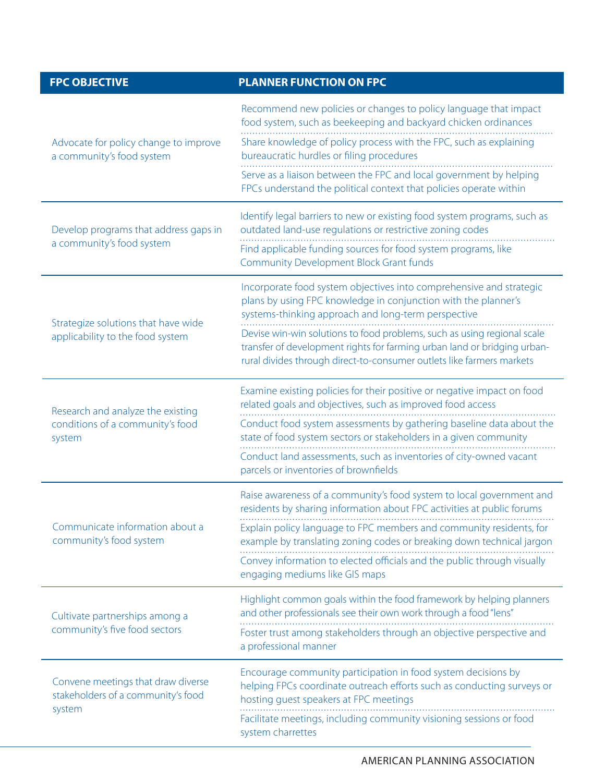| <b>FPC OBJECTIVE</b>                                                               | <b>PLANNER FUNCTION ON FPC</b>                                                                                                                                                                                                                           |
|------------------------------------------------------------------------------------|----------------------------------------------------------------------------------------------------------------------------------------------------------------------------------------------------------------------------------------------------------|
| Advocate for policy change to improve<br>a community's food system                 | Recommend new policies or changes to policy language that impact<br>food system, such as beekeeping and backyard chicken ordinances                                                                                                                      |
|                                                                                    | Share knowledge of policy process with the FPC, such as explaining<br>bureaucratic hurdles or filing procedures                                                                                                                                          |
|                                                                                    | Serve as a liaison between the FPC and local government by helping<br>FPCs understand the political context that policies operate within                                                                                                                 |
| Develop programs that address gaps in<br>a community's food system                 | Identify legal barriers to new or existing food system programs, such as<br>outdated land-use regulations or restrictive zoning codes                                                                                                                    |
|                                                                                    | Find applicable funding sources for food system programs, like<br><b>Community Development Block Grant funds</b>                                                                                                                                         |
| Strategize solutions that have wide<br>applicability to the food system            | Incorporate food system objectives into comprehensive and strategic<br>plans by using FPC knowledge in conjunction with the planner's<br>systems-thinking approach and long-term perspective                                                             |
|                                                                                    | Devise win-win solutions to food problems, such as using regional scale<br>transfer of development rights for farming urban land or bridging urban-<br>rural divides through direct-to-consumer outlets like farmers markets                             |
|                                                                                    |                                                                                                                                                                                                                                                          |
| Research and analyze the existing<br>conditions of a community's food<br>system    | Examine existing policies for their positive or negative impact on food<br>related goals and objectives, such as improved food access                                                                                                                    |
|                                                                                    | Conduct food system assessments by gathering baseline data about the<br>state of food system sectors or stakeholders in a given community<br>Conduct land assessments, such as inventories of city-owned vacant<br>parcels or inventories of brownfields |
| Communicate information about a<br>community's food system                         | Raise awareness of a community's food system to local government and<br>residents by sharing information about FPC activities at public forums                                                                                                           |
|                                                                                    | Explain policy language to FPC members and community residents, for<br>example by translating zoning codes or breaking down technical jargon                                                                                                             |
|                                                                                    | Convey information to elected officials and the public through visually<br>engaging mediums like GIS maps                                                                                                                                                |
| Cultivate partnerships among a<br>community's five food sectors                    | Highlight common goals within the food framework by helping planners<br>and other professionals see their own work through a food "lens"                                                                                                                 |
|                                                                                    | Foster trust among stakeholders through an objective perspective and<br>a professional manner                                                                                                                                                            |
| Convene meetings that draw diverse<br>stakeholders of a community's food<br>system | Encourage community participation in food system decisions by<br>helping FPCs coordinate outreach efforts such as conducting surveys or<br>hosting guest speakers at FPC meetings                                                                        |
|                                                                                    | Facilitate meetings, including community visioning sessions or food<br>system charrettes                                                                                                                                                                 |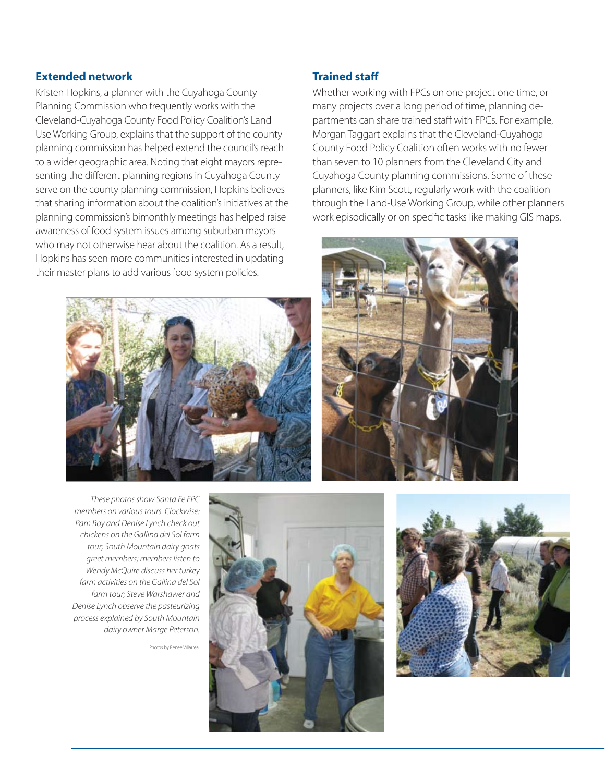#### **Extended network**

Kristen Hopkins, a planner with the Cuyahoga County Planning Commission who frequently works with the Cleveland-Cuyahoga County Food Policy Coalition's Land Use Working Group, explains that the support of the county planning commission has helped extend the council's reach to a wider geographic area. Noting that eight mayors representing the different planning regions in Cuyahoga County serve on the county planning commission, Hopkins believes that sharing information about the coalition's initiatives at the planning commission's bimonthly meetings has helped raise awareness of food system issues among suburban mayors who may not otherwise hear about the coalition. As a result, Hopkins has seen more communities interested in updating their master plans to add various food system policies.



**Trained staff**

Whether working with FPCs on one project one time, or many projects over a long period of time, planning departments can share trained staff with FPCs. For example, Morgan Taggart explains that the Cleveland-Cuyahoga County Food Policy Coalition often works with no fewer than seven to 10 planners from the Cleveland City and Cuyahoga County planning commissions. Some of these planners, like Kim Scott, regularly work with the coalition through the Land-Use Working Group, while other planners work episodically or on specific tasks like making GIS maps.



*These photos show Santa Fe FPC members on various tours. Clockwise: Pam Roy and Denise Lynch check out chickens on the Gallina del Sol farm tour; South Mountain dairy goats greet members; members listen to Wendy McQuire discuss her turkey farm activities on the Gallina del Sol farm tour; Steve Warshawer and Denise Lynch observe the pasteurizing process explained by South Mountain dairy owner Marge Peterson.*

Photos by Renee Villarreal



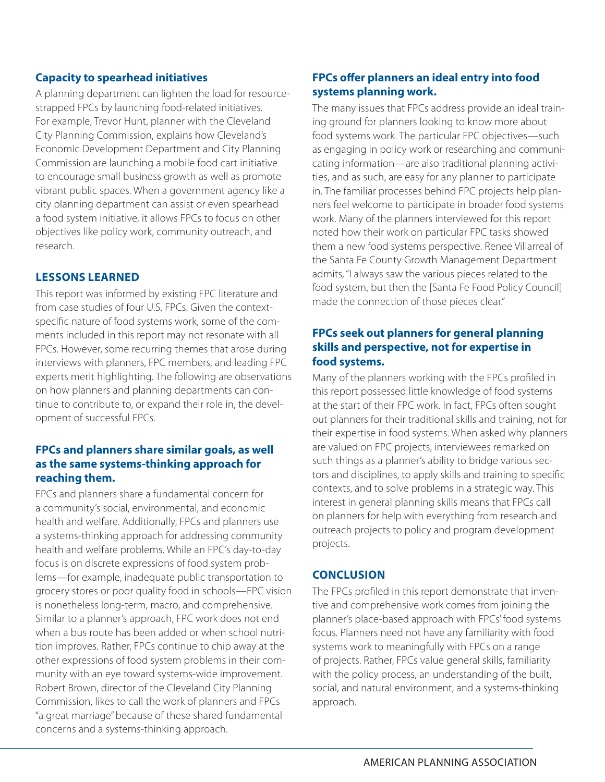#### **Capacity to spearhead initiatives**

A planning department can lighten the load for resourcestrapped FPCs by launching food-related initiatives. For example, Trevor Hunt, planner with the Cleveland City Planning Commission, explains how Cleveland's Economic Development Department and City Planning Commission are launching a mobile food cart initiative to encourage small business growth as well as promote vibrant public spaces. When a government agency like a city planning department can assist or even spearhead a food system initiative, it allows FPCs to focus on other objectives like policy work, community outreach, and research.

#### **Lessons Learned**

This report was informed by existing FPC literature and from case studies of four U.S. FPCs. Given the contextspecific nature of food systems work, some of the comments included in this report may not resonate with all FPCs. However, some recurring themes that arose during interviews with planners, FPC members, and leading FPC experts merit highlighting. The following are observations on how planners and planning departments can continue to contribute to, or expand their role in, the development of successful FPCs.

# **FPCs and planners share similar goals, as well as the same systems-thinking approach for reaching them.**

FPCs and planners share a fundamental concern for a community's social, environmental, and economic health and welfare. Additionally, FPCs and planners use a systems-thinking approach for addressing community health and welfare problems. While an FPC's day-to-day focus is on discrete expressions of food system problems—for example, inadequate public transportation to grocery stores or poor quality food in schools—FPC vision is nonetheless long-term, macro, and comprehensive. Similar to a planner's approach, FPC work does not end when a bus route has been added or when school nutrition improves. Rather, FPCs continue to chip away at the other expressions of food system problems in their community with an eye toward systems-wide improvement. Robert Brown, director of the Cleveland City Planning Commission, likes to call the work of planners and FPCs "a great marriage" because of these shared fundamental concerns and a systems-thinking approach.

# **FPCs offer planners an ideal entry into food systems planning work.**

The many issues that FPCs address provide an ideal training ground for planners looking to know more about food systems work. The particular FPC objectives—such as engaging in policy work or researching and communicating information—are also traditional planning activities, and as such, are easy for any planner to participate in. The familiar processes behind FPC projects help planners feel welcome to participate in broader food systems work. Many of the planners interviewed for this report noted how their work on particular FPC tasks showed them a new food systems perspective. Renee Villarreal of the Santa Fe County Growth Management Department admits, "I always saw the various pieces related to the food system, but then the [Santa Fe Food Policy Council] made the connection of those pieces clear."

# **FPCs seek out planners for general planning skills and perspective, not for expertise in food systems.**

Many of the planners working with the FPCs profiled in this report possessed little knowledge of food systems at the start of their FPC work. In fact, FPCs often sought out planners for their traditional skills and training, not for their expertise in food systems. When asked why planners are valued on FPC projects, interviewees remarked on such things as a planner's ability to bridge various sectors and disciplines, to apply skills and training to specific contexts, and to solve problems in a strategic way. This interest in general planning skills means that FPCs call on planners for help with everything from research and outreach projects to policy and program development projects.

#### **Conclusion**

The FPCs profiled in this report demonstrate that inventive and comprehensive work comes from joining the planner's place-based approach with FPCs' food systems focus. Planners need not have any familiarity with food systems work to meaningfully with FPCs on a range of projects. Rather, FPCs value general skills, familiarity with the policy process, an understanding of the built, social, and natural environment, and a systems-thinking approach.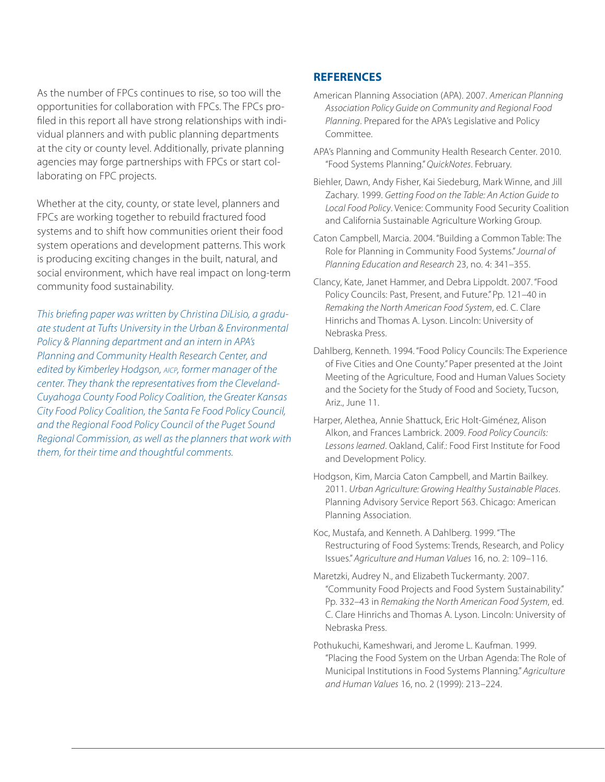As the number of FPCs continues to rise, so too will the opportunities for collaboration with FPCs. The FPCs profiled in this report all have strong relationships with individual planners and with public planning departments at the city or county level. Additionally, private planning agencies may forge partnerships with FPCs or start collaborating on FPC projects.

Whether at the city, county, or state level, planners and FPCs are working together to rebuild fractured food systems and to shift how communities orient their food system operations and development patterns. This work is producing exciting changes in the built, natural, and social environment, which have real impact on long-term community food sustainability.

*This briefing paper was written by Christina DiLisio, a graduate student at Tufts University in the Urban & Environmental Policy & Planning department and an intern in APA's Planning and Community Health Research Center, and edited by Kimberley Hodgson, aicp, former manager of the center. They thank the representatives from the Cleveland-Cuyahoga County Food Policy Coalition, the Greater Kansas City Food Policy Coalition, the Santa Fe Food Policy Council, and the Regional Food Policy Council of the Puget Sound Regional Commission, as well as the planners that work with them, for their time and thoughtful comments.*

#### **REFERENCES**

- American Planning Association (APA). 2007. *American Planning Association Policy Guide on Community and Regional Food Planning*. Prepared for the APA's Legislative and Policy Committee.
- APA's Planning and Community Health Research Center. 2010. "Food Systems Planning." *QuickNotes*. February.
- Biehler, Dawn, Andy Fisher, Kai Siedeburg, Mark Winne, and Jill Zachary. 1999. *Getting Food on the Table: An Action Guide to Local Food Policy*. Venice: Community Food Security Coalition and California Sustainable Agriculture Working Group.
- Caton Campbell, Marcia. 2004. "Building a Common Table: The Role for Planning in Community Food Systems." *Journal of Planning Education and Research* 23, no. 4: 341–355.
- Clancy, Kate, Janet Hammer, and Debra Lippoldt. 2007. "Food Policy Councils: Past, Present, and Future." Pp. 121–40 in *Remaking the North American Food System*, ed. C. Clare Hinrichs and Thomas A. Lyson. Lincoln: University of Nebraska Press.
- Dahlberg, Kenneth. 1994. "Food Policy Councils: The Experience of Five Cities and One County." Paper presented at the Joint Meeting of the Agriculture, Food and Human Values Society and the Society for the Study of Food and Society, Tucson, Ariz., June 11.
- Harper, Alethea, Annie Shattuck, Eric Holt-Giménez, Alison Alkon, and Frances Lambrick. 2009. *Food Policy Councils: Lessons learned*. Oakland, Calif.: Food First Institute for Food and Development Policy.
- Hodgson, Kim, Marcia Caton Campbell, and Martin Bailkey. 2011. *Urban Agriculture: Growing Healthy Sustainable Places*. Planning Advisory Service Report 563. Chicago: American Planning Association.
- Koc, Mustafa, and Kenneth. A Dahlberg. 1999. "The Restructuring of Food Systems: Trends, Research, and Policy Issues." *Agriculture and Human Values* 16, no. 2: 109–116.
- Maretzki, Audrey N., and Elizabeth Tuckermanty. 2007. "Community Food Projects and Food System Sustainability." Pp. 332–43 in *Remaking the North American Food System*, ed. C. Clare Hinrichs and Thomas A. Lyson. Lincoln: University of Nebraska Press.
- Pothukuchi, Kameshwari, and Jerome L. Kaufman. 1999. "Placing the Food System on the Urban Agenda: The Role of Municipal Institutions in Food Systems Planning." *Agriculture and Human Values* 16, no. 2 (1999): 213–224.